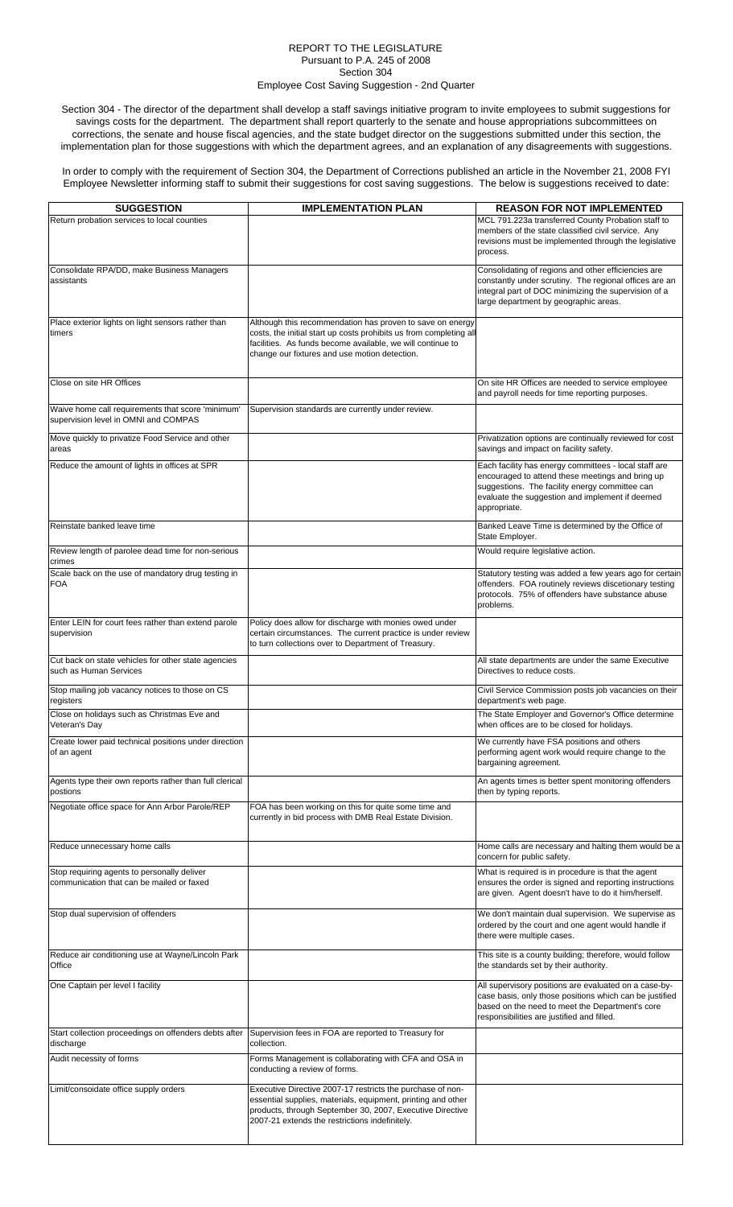## REPORT TO THE LEGISLATURE Pursuant to P.A. 245 of 2008 Section 304 Employee Cost Saving Suggestion - 2nd Quarter

Section 304 - The director of the department shall develop a staff savings initiative program to invite employees to submit suggestions for savings costs for the department. The department shall report quarterly to the senate and house appropriations subcommittees on corrections, the senate and house fiscal agencies, and the state budget director on the suggestions submitted under this section, the implementation plan for those suggestions with which the department agrees, and an explanation of any disagreements with suggestions.

In order to comply with the requirement of Section 304, the Department of Corrections published an article in the November 21, 2008 FYI Employee Newsletter informing staff to submit their suggestions for cost saving suggestions. The below is suggestions received to date:

| <b>SUGGESTION</b>                                                                         | <b>IMPLEMENTATION PLAN</b>                                                                                                                                                                                                                     | <b>REASON FOR NOT IMPLEMENTED</b>                                                                                                                                                                                              |
|-------------------------------------------------------------------------------------------|------------------------------------------------------------------------------------------------------------------------------------------------------------------------------------------------------------------------------------------------|--------------------------------------------------------------------------------------------------------------------------------------------------------------------------------------------------------------------------------|
| Return probation services to local counties                                               |                                                                                                                                                                                                                                                | MCL 791.223a transferred County Probation staff to                                                                                                                                                                             |
|                                                                                           |                                                                                                                                                                                                                                                | members of the state classified civil service. Any<br>revisions must be implemented through the legislative<br>process.                                                                                                        |
| Consolidate RPA/DD, make Business Managers<br>assistants                                  |                                                                                                                                                                                                                                                | Consolidating of regions and other efficiencies are<br>constantly under scrutiny. The regional offices are an<br>integral part of DOC minimizing the supervision of a<br>large department by geographic areas.                 |
| Place exterior lights on light sensors rather than<br>timers                              | Although this recommendation has proven to save on energy<br>costs, the initial start up costs prohibits us from completing all<br>facilities. As funds become available, we will continue to<br>change our fixtures and use motion detection. |                                                                                                                                                                                                                                |
| Close on site HR Offices                                                                  |                                                                                                                                                                                                                                                | On site HR Offices are needed to service employee<br>and payroll needs for time reporting purposes.                                                                                                                            |
| Waive home call requirements that score 'minimum'<br>supervision level in OMNI and COMPAS | Supervision standards are currently under review.                                                                                                                                                                                              |                                                                                                                                                                                                                                |
| Move quickly to privatize Food Service and other<br>areas                                 |                                                                                                                                                                                                                                                | Privatization options are continually reviewed for cost<br>savings and impact on facility safety.                                                                                                                              |
| Reduce the amount of lights in offices at SPR                                             |                                                                                                                                                                                                                                                | Each facility has energy committees - local staff are<br>encouraged to attend these meetings and bring up<br>suggestions. The facility energy committee can<br>evaluate the suggestion and implement if deemed<br>appropriate. |
| Reinstate banked leave time                                                               |                                                                                                                                                                                                                                                | Banked Leave Time is determined by the Office of<br>State Employer.                                                                                                                                                            |
| Review length of parolee dead time for non-serious<br>crimes                              |                                                                                                                                                                                                                                                | Would require legislative action.                                                                                                                                                                                              |
| Scale back on the use of mandatory drug testing in<br><b>FOA</b>                          |                                                                                                                                                                                                                                                | Statutory testing was added a few years ago for certain<br>offenders. FOA routinely reviews discetionary testing<br>protocols. 75% of offenders have substance abuse<br>problems.                                              |
| Enter LEIN for court fees rather than extend parole<br>supervision                        | Policy does allow for discharge with monies owed under<br>certain circumstances. The current practice is under review<br>to turn collections over to Department of Treasury.                                                                   |                                                                                                                                                                                                                                |
| Cut back on state vehicles for other state agencies<br>such as Human Services             |                                                                                                                                                                                                                                                | All state departments are under the same Executive<br>Directives to reduce costs.                                                                                                                                              |
| Stop mailing job vacancy notices to those on CS<br>registers                              |                                                                                                                                                                                                                                                | Civil Service Commission posts job vacancies on their<br>department's web page.                                                                                                                                                |
| Close on holidays such as Christmas Eve and<br>Veteran's Day                              |                                                                                                                                                                                                                                                | The State Employer and Governor's Office determine<br>when offices are to be closed for holidays.                                                                                                                              |
| Create lower paid technical positions under direction<br>of an agent                      |                                                                                                                                                                                                                                                | We currently have FSA positions and others<br>performing agent work would require change to the<br>bargaining agreement.                                                                                                       |
| Agents type their own reports rather than full clerical<br>postions                       |                                                                                                                                                                                                                                                | An agents times is better spent monitoring offenders<br>then by typing reports.                                                                                                                                                |
| Negotiate office space for Ann Arbor Parole/REP                                           | FOA has been working on this for quite some time and<br>currently in bid process with DMB Real Estate Division.                                                                                                                                |                                                                                                                                                                                                                                |
| Reduce unnecessary home calls                                                             |                                                                                                                                                                                                                                                | Home calls are necessary and halting them would be a<br>concern for public safety.                                                                                                                                             |
| Stop requiring agents to personally deliver<br>communication that can be mailed or faxed  |                                                                                                                                                                                                                                                | What is required is in procedure is that the agent<br>ensures the order is signed and reporting instructions<br>are given. Agent doesn't have to do it him/herself.                                                            |
| Stop dual supervision of offenders                                                        |                                                                                                                                                                                                                                                | We don't maintain dual supervision. We supervise as<br>ordered by the court and one agent would handle if<br>there were multiple cases.                                                                                        |
| Reduce air conditioning use at Wayne/Lincoln Park<br>Office                               |                                                                                                                                                                                                                                                | This site is a county building; therefore, would follow<br>the standards set by their authority.                                                                                                                               |
| One Captain per level I facility                                                          |                                                                                                                                                                                                                                                | All supervisory positions are evaluated on a case-by-<br>case basis, only those positions which can be justified<br>based on the need to meet the Department's core<br>responsibilities are justified and filled.              |
| Start collection proceedings on offenders debts after<br>discharge                        | Supervision fees in FOA are reported to Treasury for<br>collection.                                                                                                                                                                            |                                                                                                                                                                                                                                |
| Audit necessity of forms                                                                  | Forms Management is collaborating with CFA and OSA in<br>conducting a review of forms.                                                                                                                                                         |                                                                                                                                                                                                                                |
| Limit/consoidate office supply orders                                                     | Executive Directive 2007-17 restricts the purchase of non-<br>essential supplies, materials, equipment, printing and other<br>products, through September 30, 2007, Executive Directive<br>2007-21 extends the restrictions indefinitely.      |                                                                                                                                                                                                                                |